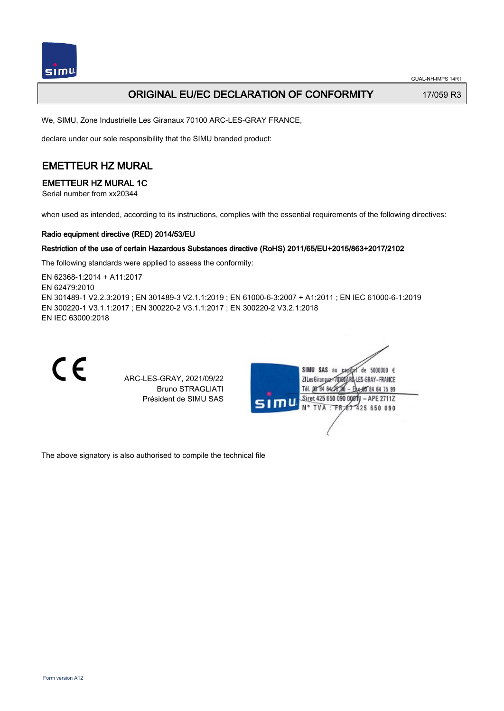

GUAL-NH-IMPS 14R1

## **ORIGINAL EU/EC DECLARATION OF CONFORMITY** 17/059 R3

We, SIMU, Zone Industrielle Les Giranaux 70100 ARC-LES-GRAY FRANCE,

declare under our sole responsibility that the SIMU branded product:

## EMETTEUR HZ MURAL

### EMETTEUR HZ MURAL 1C

Serial number from xx20344

when used as intended, according to its instructions, complies with the essential requirements of the following directives:

### Radio equipment directive (RED) 2014/53/EU

### Restriction of the use of certain Hazardous Substances directive (RoHS) 2011/65/EU+2015/863+2017/2102

The following standards were applied to assess the conformity:

EN 62368‑1:2014 + A11:2017 EN 62479:2010 EN 301489‑1 V2.2.3:2019 ; EN 301489‑3 V2.1.1:2019 ; EN 61000‑6‑3:2007 + A1:2011 ; EN IEC 61000‑6‑1:2019 EN 300220‑1 V3.1.1:2017 ; EN 300220‑2 V3.1.1:2017 ; EN 300220‑2 V3.2.1:2018 EN IEC 63000:2018



ARC-LES-GRAY, 2021/09/22 Bruno STRAGLIATI Président de SIMU SAS



The above signatory is also authorised to compile the technical file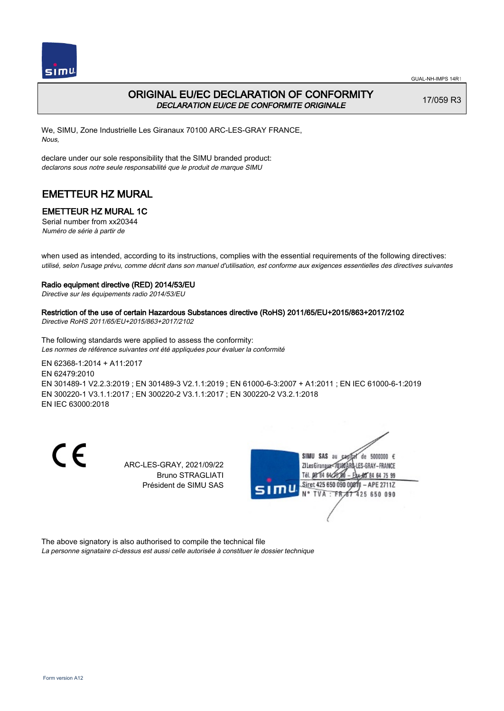

### ORIGINAL EU/EC DECLARATION OF CONFORMITY DECLARATION EU/CE DE CONFORMITE ORIGINALE

17/059 R3

We, SIMU, Zone Industrielle Les Giranaux 70100 ARC-LES-GRAY FRANCE, Nous,

declare under our sole responsibility that the SIMU branded product: declarons sous notre seule responsabilité que le produit de marque SIMU

## EMETTEUR HZ MURAL

### EMETTEUR HZ MURAL 1C

Serial number from xx20344 Numéro de série à partir de

when used as intended, according to its instructions, complies with the essential requirements of the following directives: utilisé, selon l'usage prévu, comme décrit dans son manuel d'utilisation, est conforme aux exigences essentielles des directives suivantes

#### Radio equipment directive (RED) 2014/53/EU

Directive sur les équipements radio 2014/53/EU

### Restriction of the use of certain Hazardous Substances directive (RoHS) 2011/65/EU+2015/863+2017/2102

Directive RoHS 2011/65/EU+2015/863+2017/2102

The following standards were applied to assess the conformity: Les normes de référence suivantes ont été appliquées pour évaluer la conformité

EN 62368‑1:2014 + A11:2017 EN 62479:2010 EN 301489‑1 V2.2.3:2019 ; EN 301489‑3 V2.1.1:2019 ; EN 61000‑6‑3:2007 + A1:2011 ; EN IEC 61000‑6‑1:2019 EN 300220‑1 V3.1.1:2017 ; EN 300220‑2 V3.1.1:2017 ; EN 300220‑2 V3.2.1:2018 EN IEC 63000:2018

C E

ARC-LES-GRAY, 2021/09/22 Bruno STRAGLIATI Président de SIMU SAS



The above signatory is also authorised to compile the technical file

La personne signataire ci-dessus est aussi celle autorisée à constituer le dossier technique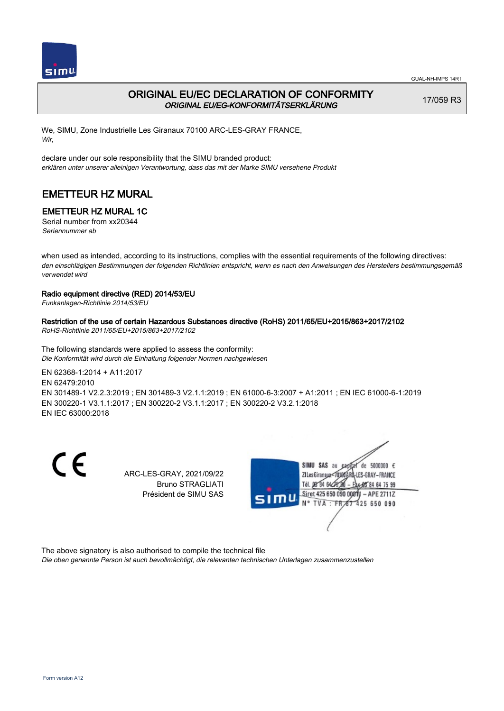

### ORIGINAL EU/EC DECLARATION OF CONFORMITY ORIGINAL EU/EG-KONFORMITÄTSERKLÄRUNG

17/059 R3

We, SIMU, Zone Industrielle Les Giranaux 70100 ARC-LES-GRAY FRANCE, Wir,

declare under our sole responsibility that the SIMU branded product: erklären unter unserer alleinigen Verantwortung, dass das mit der Marke SIMU versehene Produkt

## EMETTEUR HZ MURAL

### EMETTEUR HZ MURAL 1C

Serial number from xx20344 Seriennummer ab

when used as intended, according to its instructions, complies with the essential requirements of the following directives: den einschlägigen Bestimmungen der folgenden Richtlinien entspricht, wenn es nach den Anweisungen des Herstellers bestimmungsgemäß verwendet wird

### Radio equipment directive (RED) 2014/53/EU

Funkanlagen-Richtlinie 2014/53/EU

#### Restriction of the use of certain Hazardous Substances directive (RoHS) 2011/65/EU+2015/863+2017/2102

RoHS-Richtlinie 2011/65/EU+2015/863+2017/2102

The following standards were applied to assess the conformity: Die Konformität wird durch die Einhaltung folgender Normen nachgewiesen

EN 62368‑1:2014 + A11:2017

EN 62479:2010

EN 301489‑1 V2.2.3:2019 ; EN 301489‑3 V2.1.1:2019 ; EN 61000‑6‑3:2007 + A1:2011 ; EN IEC 61000‑6‑1:2019 EN 300220‑1 V3.1.1:2017 ; EN 300220‑2 V3.1.1:2017 ; EN 300220‑2 V3.2.1:2018 EN IEC 63000:2018

CE

ARC-LES-GRAY, 2021/09/22 Bruno STRAGLIATI Président de SIMU SAS



The above signatory is also authorised to compile the technical file

Die oben genannte Person ist auch bevollmächtigt, die relevanten technischen Unterlagen zusammenzustellen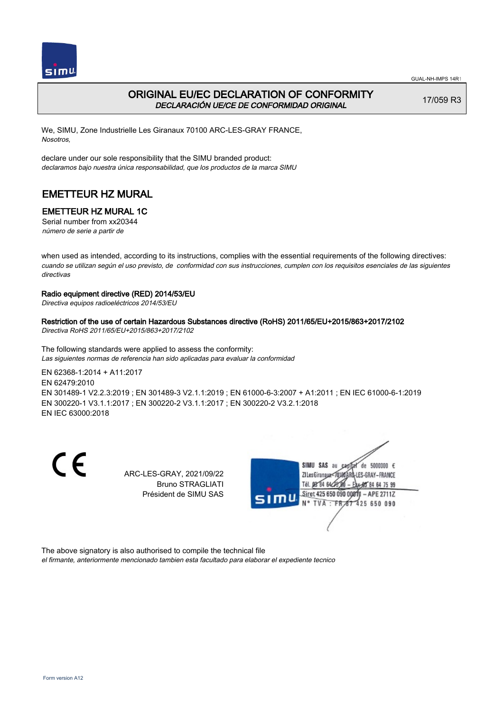

### ORIGINAL EU/EC DECLARATION OF CONFORMITY DECLARACIÓN UE/CE DE CONFORMIDAD ORIGINAL

17/059 R3

We, SIMU, Zone Industrielle Les Giranaux 70100 ARC-LES-GRAY FRANCE, Nosotros,

declare under our sole responsibility that the SIMU branded product: declaramos bajo nuestra única responsabilidad, que los productos de la marca SIMU

## EMETTEUR HZ MURAL

### EMETTEUR HZ MURAL 1C

Serial number from xx20344 número de serie a partir de

when used as intended, according to its instructions, complies with the essential requirements of the following directives: cuando se utilizan según el uso previsto, de conformidad con sus instrucciones, cumplen con los requisitos esenciales de las siguientes directivas

### Radio equipment directive (RED) 2014/53/EU

Directiva equipos radioeléctricos 2014/53/EU

### Restriction of the use of certain Hazardous Substances directive (RoHS) 2011/65/EU+2015/863+2017/2102

Directiva RoHS 2011/65/EU+2015/863+2017/2102

The following standards were applied to assess the conformity: Las siguientes normas de referencia han sido aplicadas para evaluar la conformidad

EN 62368‑1:2014 + A11:2017 EN 62479:2010

EN 301489‑1 V2.2.3:2019 ; EN 301489‑3 V2.1.1:2019 ; EN 61000‑6‑3:2007 + A1:2011 ; EN IEC 61000‑6‑1:2019 EN 300220‑1 V3.1.1:2017 ; EN 300220‑2 V3.1.1:2017 ; EN 300220‑2 V3.2.1:2018 EN IEC 63000:2018

 $\epsilon$ 

ARC-LES-GRAY, 2021/09/22 Bruno STRAGLIATI Président de SIMU SAS



The above signatory is also authorised to compile the technical file

el firmante, anteriormente mencionado tambien esta facultado para elaborar el expediente tecnico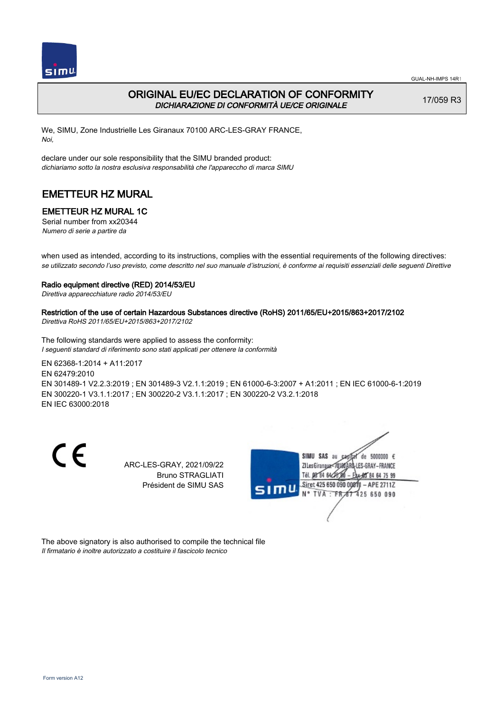

### ORIGINAL EU/EC DECLARATION OF CONFORMITY DICHIARAZIONE DI CONFORMITÀ UE/CE ORIGINALE

17/059 R3

We, SIMU, Zone Industrielle Les Giranaux 70100 ARC-LES-GRAY FRANCE, Noi,

declare under our sole responsibility that the SIMU branded product: dichiariamo sotto la nostra esclusiva responsabilità che l'appareccho di marca SIMU

## EMETTEUR HZ MURAL

### EMETTEUR HZ MURAL 1C

Serial number from xx20344 Numero di serie a partire da

when used as intended, according to its instructions, complies with the essential requirements of the following directives: se utilizzato secondo l'uso previsto, come descritto nel suo manuale d'istruzioni, è conforme ai requisiti essenziali delle seguenti Direttive

#### Radio equipment directive (RED) 2014/53/EU

Direttiva apparecchiature radio 2014/53/EU

### Restriction of the use of certain Hazardous Substances directive (RoHS) 2011/65/EU+2015/863+2017/2102

Direttiva RoHS 2011/65/EU+2015/863+2017/2102

The following standards were applied to assess the conformity: I seguenti standard di riferimento sono stati applicati per ottenere la conformità

EN 62368‑1:2014 + A11:2017 EN 62479:2010 EN 301489‑1 V2.2.3:2019 ; EN 301489‑3 V2.1.1:2019 ; EN 61000‑6‑3:2007 + A1:2011 ; EN IEC 61000‑6‑1:2019 EN 300220‑1 V3.1.1:2017 ; EN 300220‑2 V3.1.1:2017 ; EN 300220‑2 V3.2.1:2018 EN IEC 63000:2018

C E

ARC-LES-GRAY, 2021/09/22 Bruno STRAGLIATI Président de SIMU SAS



The above signatory is also authorised to compile the technical file Il firmatario è inoltre autorizzato a costituire il fascicolo tecnico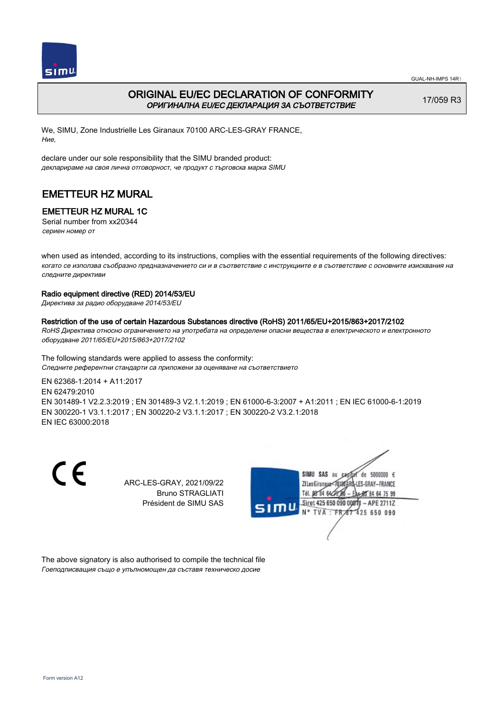

### ORIGINAL EU/EC DECLARATION OF CONFORMITY ОРИГИНАЛНА EU/EC ДЕКЛАРАЦИЯ ЗА СЪОТВЕТСТВИЕ

17/059 R3

We, SIMU, Zone Industrielle Les Giranaux 70100 ARC-LES-GRAY FRANCE, Ние,

declare under our sole responsibility that the SIMU branded product: декларираме на своя лична отговорност, че продукт с търговска марка SIMU

## EMETTEUR HZ MURAL

### EMETTEUR HZ MURAL 1C

Serial number from xx20344 сериен номер от

when used as intended, according to its instructions, complies with the essential requirements of the following directives: когато се използва съобразно предназначението си и в съответствие с инструкциите е в съответствие с основните изисквания на следните директиви

#### Radio equipment directive (RED) 2014/53/EU

Директива за радио оборудване 2014/53/EU

# Restriction of the use of certain Hazardous Substances directive (RoHS) 2011/65/EU+2015/863+2017/2102

RoHS Директива относно ограничението на употребата на определени опасни вещества в електрическото и електронното оборудване 2011/65/EU+2015/863+2017/2102

The following standards were applied to assess the conformity: Следните референтни стандарти са приложени за оценяване на съответствието

EN 62368‑1:2014 + A11:2017 EN 62479:2010 EN 301489‑1 V2.2.3:2019 ; EN 301489‑3 V2.1.1:2019 ; EN 61000‑6‑3:2007 + A1:2011 ; EN IEC 61000‑6‑1:2019 EN 300220‑1 V3.1.1:2017 ; EN 300220‑2 V3.1.1:2017 ; EN 300220‑2 V3.2.1:2018 EN IEC 63000:2018

C E

ARC-LES-GRAY, 2021/09/22 Bruno STRAGLIATI Président de SIMU SAS



The above signatory is also authorised to compile the technical file Гоеподписващия също е упълномощен да съставя техническо досие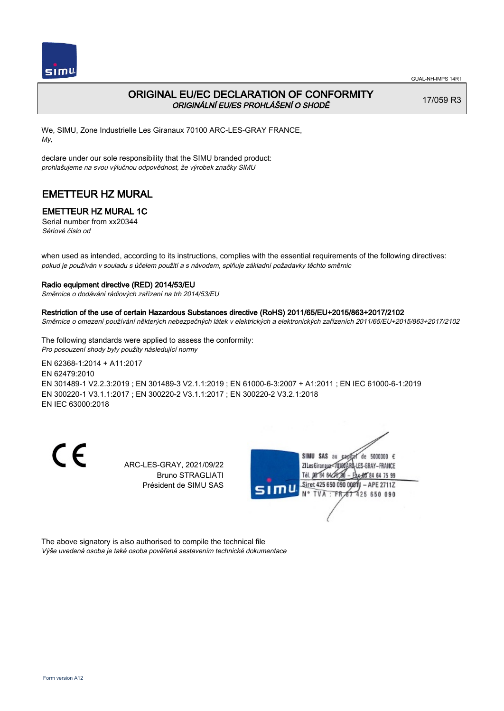

### ORIGINAL EU/EC DECLARATION OF CONFORMITY ORIGINÁLNÍ EU/ES PROHLÁŠENÍ O SHODĚ

17/059 R3

We, SIMU, Zone Industrielle Les Giranaux 70100 ARC-LES-GRAY FRANCE, My,

declare under our sole responsibility that the SIMU branded product: prohlašujeme na svou výlučnou odpovědnost, že výrobek značky SIMU

## EMETTEUR HZ MURAL

### EMETTEUR HZ MURAL 1C

Serial number from xx20344 Sériové číslo od

when used as intended, according to its instructions, complies with the essential requirements of the following directives: pokud je používán v souladu s účelem použití a s návodem, splňuje základní požadavky těchto směrnic

#### Radio equipment directive (RED) 2014/53/EU

Směrnice o dodávání rádiových zařízení na trh 2014/53/EU

#### Restriction of the use of certain Hazardous Substances directive (RoHS) 2011/65/EU+2015/863+2017/2102

Směrnice o omezení používání některých nebezpečných látek v elektrických a elektronických zařízeních 2011/65/EU+2015/863+2017/2102

The following standards were applied to assess the conformity: Pro posouzení shody byly použity následující normy

EN 62368‑1:2014 + A11:2017 EN 62479:2010 EN 301489‑1 V2.2.3:2019 ; EN 301489‑3 V2.1.1:2019 ; EN 61000‑6‑3:2007 + A1:2011 ; EN IEC 61000‑6‑1:2019 EN 300220‑1 V3.1.1:2017 ; EN 300220‑2 V3.1.1:2017 ; EN 300220‑2 V3.2.1:2018 EN IEC 63000:2018

C E

ARC-LES-GRAY, 2021/09/22 Bruno STRAGLIATI Président de SIMU SAS



The above signatory is also authorised to compile the technical file Výše uvedená osoba je také osoba pověřená sestavením technické dokumentace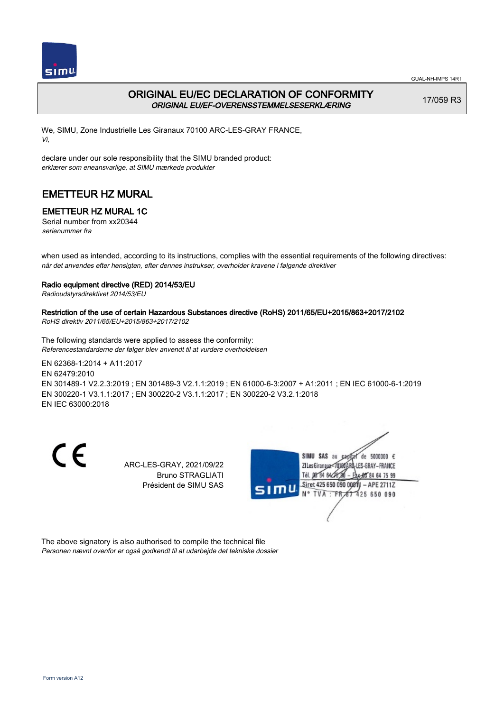

### ORIGINAL EU/EC DECLARATION OF CONFORMITY ORIGINAL EU/EF-OVERENSSTEMMELSESERKLÆRING

17/059 R3

We, SIMU, Zone Industrielle Les Giranaux 70100 ARC-LES-GRAY FRANCE, Vi,

declare under our sole responsibility that the SIMU branded product: erklærer som eneansvarlige, at SIMU mærkede produkter

## EMETTEUR HZ MURAL

### EMETTEUR HZ MURAL 1C

Serial number from xx20344 serienummer fra

when used as intended, according to its instructions, complies with the essential requirements of the following directives: når det anvendes efter hensigten, efter dennes instrukser, overholder kravene i følgende direktiver

#### Radio equipment directive (RED) 2014/53/EU

Radioudstyrsdirektivet 2014/53/EU

### Restriction of the use of certain Hazardous Substances directive (RoHS) 2011/65/EU+2015/863+2017/2102

RoHS direktiv 2011/65/EU+2015/863+2017/2102

The following standards were applied to assess the conformity: Referencestandarderne der følger blev anvendt til at vurdere overholdelsen

EN 62368‑1:2014 + A11:2017 EN 62479:2010 EN 301489‑1 V2.2.3:2019 ; EN 301489‑3 V2.1.1:2019 ; EN 61000‑6‑3:2007 + A1:2011 ; EN IEC 61000‑6‑1:2019 EN 300220‑1 V3.1.1:2017 ; EN 300220‑2 V3.1.1:2017 ; EN 300220‑2 V3.2.1:2018 EN IEC 63000:2018

C E

ARC-LES-GRAY, 2021/09/22 Bruno STRAGLIATI Président de SIMU SAS



The above signatory is also authorised to compile the technical file Personen nævnt ovenfor er også godkendt til at udarbejde det tekniske dossier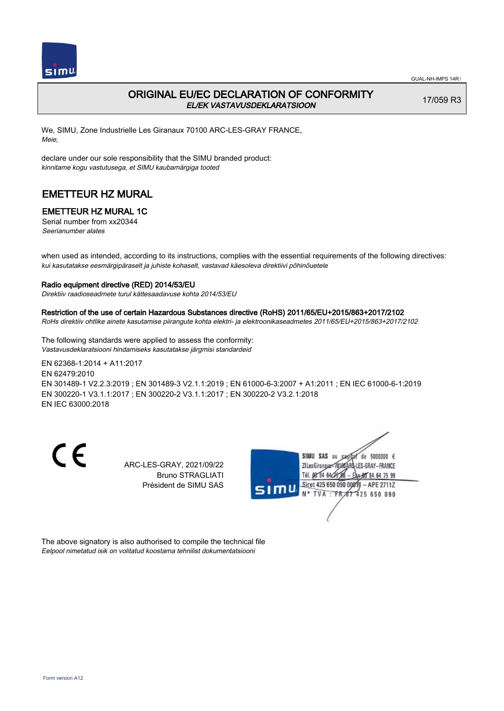

### ORIGINAL EU/EC DECLARATION OF CONFORMITY EL/EK VASTAVUSDEKLARATSIOON

17/059 R3

We, SIMU, Zone Industrielle Les Giranaux 70100 ARC-LES-GRAY FRANCE, Meie,

declare under our sole responsibility that the SIMU branded product: kinnitame kogu vastutusega, et SIMU kaubamärgiga tooted

## EMETTEUR HZ MURAL

### EMETTEUR HZ MURAL 1C

Serial number from xx20344 Seerianumber alates

when used as intended, according to its instructions, complies with the essential requirements of the following directives: kui kasutatakse eesmärgipäraselt ja juhiste kohaselt, vastavad käesoleva direktiivi põhinõuetele

#### Radio equipment directive (RED) 2014/53/EU

Direktiiv raadioseadmete turul kättesaadavuse kohta 2014/53/EU

#### Restriction of the use of certain Hazardous Substances directive (RoHS) 2011/65/EU+2015/863+2017/2102

RoHs direktiiv ohtlike ainete kasutamise piirangute kohta elektri- ja elektroonikaseadmetes 2011/65/EU+2015/863+2017/2102

The following standards were applied to assess the conformity: Vastavusdeklaratsiooni hindamiseks kasutatakse järgmisi standardeid

EN 62368‑1:2014 + A11:2017 EN 62479:2010 EN 301489‑1 V2.2.3:2019 ; EN 301489‑3 V2.1.1:2019 ; EN 61000‑6‑3:2007 + A1:2011 ; EN IEC 61000‑6‑1:2019 EN 300220‑1 V3.1.1:2017 ; EN 300220‑2 V3.1.1:2017 ; EN 300220‑2 V3.2.1:2018 EN IEC 63000:2018

C E

ARC-LES-GRAY, 2021/09/22 Bruno STRAGLIATI Président de SIMU SAS



The above signatory is also authorised to compile the technical file Eelpool nimetatud isik on volitatud koostama tehnilist dokumentatsiooni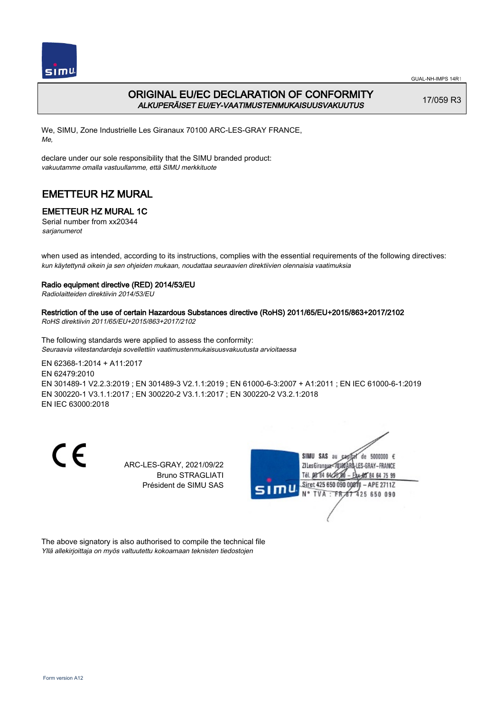

GUAL-NH-IMPS 14R1

## ORIGINAL EU/EC DECLARATION OF CONFORMITY ALKUPERÄISET EU/EY-VAATIMUSTENMUKAISUUSVAKUUTUS

17/059 R3

We, SIMU, Zone Industrielle Les Giranaux 70100 ARC-LES-GRAY FRANCE, Me,

declare under our sole responsibility that the SIMU branded product: vakuutamme omalla vastuullamme, että SIMU merkkituote

## EMETTEUR HZ MURAL

## EMETTEUR HZ MURAL 1C

Serial number from xx20344 sarjanumerot

when used as intended, according to its instructions, complies with the essential requirements of the following directives: kun käytettynä oikein ja sen ohjeiden mukaan, noudattaa seuraavien direktiivien olennaisia vaatimuksia

### Radio equipment directive (RED) 2014/53/EU

Radiolaitteiden direktiivin 2014/53/EU

Restriction of the use of certain Hazardous Substances directive (RoHS) 2011/65/EU+2015/863+2017/2102 RoHS direktiivin 2011/65/EU+2015/863+2017/2102

The following standards were applied to assess the conformity: Seuraavia viitestandardeja sovellettiin vaatimustenmukaisuusvakuutusta arvioitaessa

EN 62368‑1:2014 + A11:2017 EN 62479:2010 EN 301489‑1 V2.2.3:2019 ; EN 301489‑3 V2.1.1:2019 ; EN 61000‑6‑3:2007 + A1:2011 ; EN IEC 61000‑6‑1:2019 EN 300220‑1 V3.1.1:2017 ; EN 300220‑2 V3.1.1:2017 ; EN 300220‑2 V3.2.1:2018 EN IEC 63000:2018

C E

ARC-LES-GRAY, 2021/09/22 Bruno STRAGLIATI Président de SIMU SAS



The above signatory is also authorised to compile the technical file Yllä allekirjoittaja on myös valtuutettu kokoamaan teknisten tiedostojen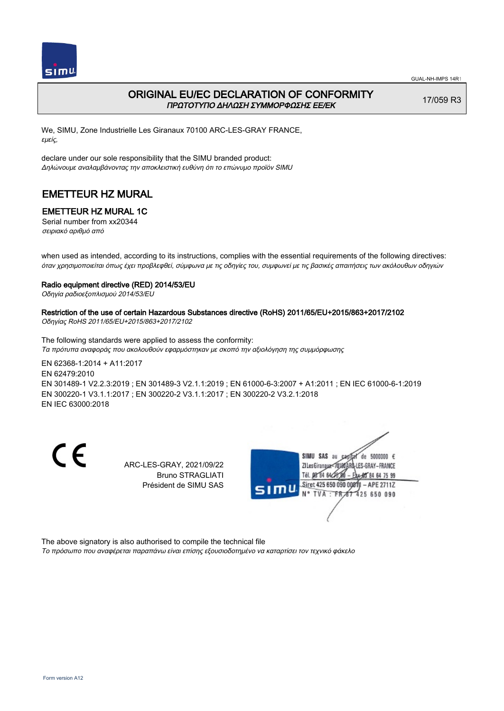

### ORIGINAL EU/EC DECLARATION OF CONFORMITY ΠΡΩΤΟΤΥΠΟ ΔΗΛΩΣΗ ΣΥΜΜΟΡΦΩΣΗΣ ΕΕ/EK

17/059 R3

We, SIMU, Zone Industrielle Les Giranaux 70100 ARC-LES-GRAY FRANCE, εμείς,

declare under our sole responsibility that the SIMU branded product: Δηλώνουμε αναλαμβάνοντας την αποκλειστική ευθύνη ότι το επώνυμο προϊόν SIMU

## EMETTEUR HZ MURAL

### EMETTEUR HZ MURAL 1C

Serial number from xx20344 σειριακό αριθμό από

when used as intended, according to its instructions, complies with the essential requirements of the following directives: όταν χρησιμοποιείται όπως έχει προβλεφθεί, σύμφωνα με τις οδηγίες του, συμφωνεί με τις βασικές απαιτήσεις των ακόλουθων οδηγιών

#### Radio equipment directive (RED) 2014/53/EU

Οδηγία ραδιοεξοπλισμού 2014/53/EU

## Restriction of the use of certain Hazardous Substances directive (RoHS) 2011/65/EU+2015/863+2017/2102

Οδηγίας RoHS 2011/65/EU+2015/863+2017/2102

The following standards were applied to assess the conformity: Τα πρότυπα αναφοράς που ακολουθούν εφαρμόστηκαν με σκοπό την αξιολόγηση της συμμόρφωσης

EN 62368‑1:2014 + A11:2017 EN 62479:2010 EN 301489‑1 V2.2.3:2019 ; EN 301489‑3 V2.1.1:2019 ; EN 61000‑6‑3:2007 + A1:2011 ; EN IEC 61000‑6‑1:2019 EN 300220‑1 V3.1.1:2017 ; EN 300220‑2 V3.1.1:2017 ; EN 300220‑2 V3.2.1:2018 EN IEC 63000:2018

C E

ARC-LES-GRAY, 2021/09/22 Bruno STRAGLIATI Président de SIMU SAS



The above signatory is also authorised to compile the technical file

Το πρόσωπο που αναφέρεται παραπάνω είναι επίσης εξουσιοδοτημένο να καταρτίσει τον τεχνικό φάκελο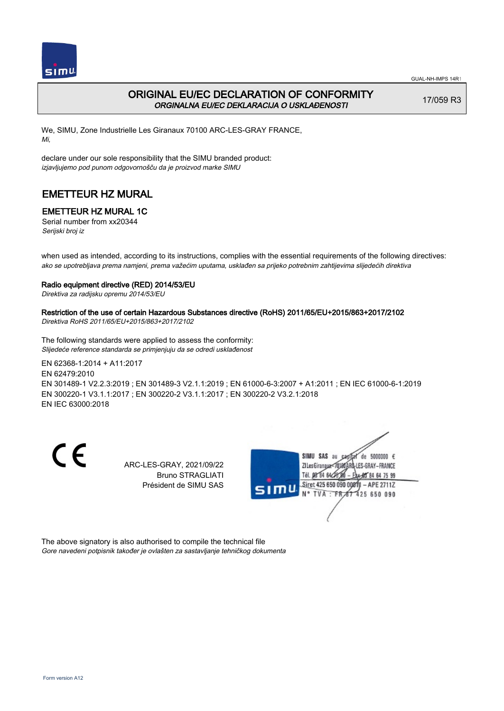

### ORIGINAL EU/EC DECLARATION OF CONFORMITY ORGINALNA EU/EC DEKLARACIJA O USKLAĐENOSTI

17/059 R3

We, SIMU, Zone Industrielle Les Giranaux 70100 ARC-LES-GRAY FRANCE, Mi,

declare under our sole responsibility that the SIMU branded product: izjavljujemo pod punom odgovornošču da je proizvod marke SIMU

## EMETTEUR HZ MURAL

### EMETTEUR HZ MURAL 1C

Serial number from xx20344 Serijski broj iz

when used as intended, according to its instructions, complies with the essential requirements of the following directives: ako se upotrebljava prema namjeni, prema važećim uputama, usklađen sa prijeko potrebnim zahtijevima slijedećih direktiva

#### Radio equipment directive (RED) 2014/53/EU

Direktiva za radijsku opremu 2014/53/EU

## Restriction of the use of certain Hazardous Substances directive (RoHS) 2011/65/EU+2015/863+2017/2102

Direktiva RoHS 2011/65/EU+2015/863+2017/2102

The following standards were applied to assess the conformity: Slijedeće reference standarda se primjenjuju da se odredi usklađenost

EN 62368‑1:2014 + A11:2017 EN 62479:2010 EN 301489‑1 V2.2.3:2019 ; EN 301489‑3 V2.1.1:2019 ; EN 61000‑6‑3:2007 + A1:2011 ; EN IEC 61000‑6‑1:2019 EN 300220‑1 V3.1.1:2017 ; EN 300220‑2 V3.1.1:2017 ; EN 300220‑2 V3.2.1:2018 EN IEC 63000:2018

C E

ARC-LES-GRAY, 2021/09/22 Bruno STRAGLIATI Président de SIMU SAS



The above signatory is also authorised to compile the technical file Gore navedeni potpisnik također je ovlašten za sastavljanje tehničkog dokumenta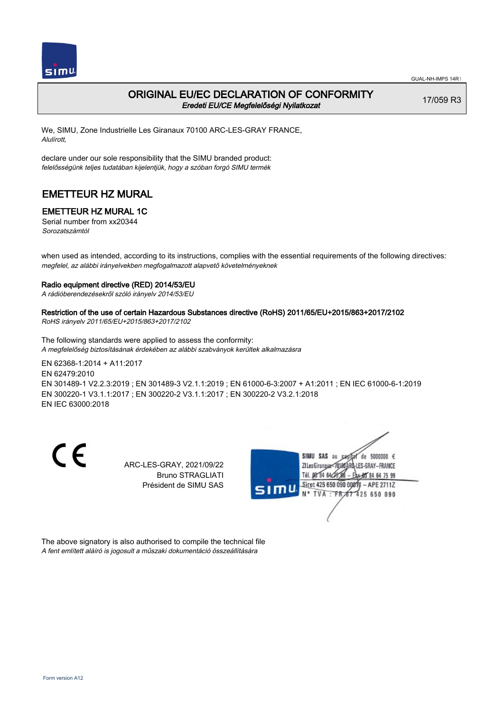

### ORIGINAL EU/EC DECLARATION OF CONFORMITY Eredeti EU/CE Megfelelőségi Nyilatkozat

17/059 R3

We, SIMU, Zone Industrielle Les Giranaux 70100 ARC-LES-GRAY FRANCE, Alulírott,

declare under our sole responsibility that the SIMU branded product: felelősségünk teljes tudatában kijelentjük, hogy a szóban forgó SIMU termék

## EMETTEUR HZ MURAL

### EMETTEUR HZ MURAL 1C

Serial number from xx20344 Sorozatszámtól

when used as intended, according to its instructions, complies with the essential requirements of the following directives: megfelel, az alábbi irányelvekben megfogalmazott alapvető követelményeknek

#### Radio equipment directive (RED) 2014/53/EU

A rádióberendezésekről szóló irányelv 2014/53/EU

### Restriction of the use of certain Hazardous Substances directive (RoHS) 2011/65/EU+2015/863+2017/2102

RoHS irányelv 2011/65/EU+2015/863+2017/2102

The following standards were applied to assess the conformity: A megfelelőség biztosításának érdekében az alábbi szabványok kerültek alkalmazásra

EN 62368‑1:2014 + A11:2017 EN 62479:2010 EN 301489‑1 V2.2.3:2019 ; EN 301489‑3 V2.1.1:2019 ; EN 61000‑6‑3:2007 + A1:2011 ; EN IEC 61000‑6‑1:2019 EN 300220‑1 V3.1.1:2017 ; EN 300220‑2 V3.1.1:2017 ; EN 300220‑2 V3.2.1:2018 EN IEC 63000:2018

C E

ARC-LES-GRAY, 2021/09/22 Bruno STRAGLIATI Président de SIMU SAS



The above signatory is also authorised to compile the technical file A fent említett aláíró is jogosult a műszaki dokumentáció összeállítására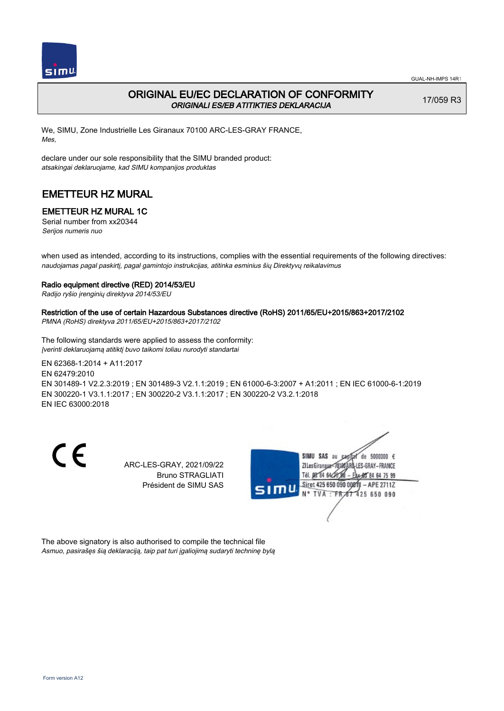

### ORIGINAL EU/EC DECLARATION OF CONFORMITY ORIGINALI ES/EB ATITIKTIES DEKLARACIJA

17/059 R3

We, SIMU, Zone Industrielle Les Giranaux 70100 ARC-LES-GRAY FRANCE, Mes,

declare under our sole responsibility that the SIMU branded product: atsakingai deklaruojame, kad SIMU kompanijos produktas

## EMETTEUR HZ MURAL

### EMETTEUR HZ MURAL 1C

Serial number from xx20344 Serijos numeris nuo

when used as intended, according to its instructions, complies with the essential requirements of the following directives: naudojamas pagal paskirtį, pagal gamintojo instrukcijas, atitinka esminius šių Direktyvų reikalavimus

#### Radio equipment directive (RED) 2014/53/EU

Radijo ryšio įrenginių direktyva 2014/53/EU

### Restriction of the use of certain Hazardous Substances directive (RoHS) 2011/65/EU+2015/863+2017/2102

PMNA (RoHS) direktyva 2011/65/EU+2015/863+2017/2102

The following standards were applied to assess the conformity: Įverinti deklaruojamą atitiktį buvo taikomi toliau nurodyti standartai

EN 62368‑1:2014 + A11:2017 EN 62479:2010 EN 301489‑1 V2.2.3:2019 ; EN 301489‑3 V2.1.1:2019 ; EN 61000‑6‑3:2007 + A1:2011 ; EN IEC 61000‑6‑1:2019 EN 300220‑1 V3.1.1:2017 ; EN 300220‑2 V3.1.1:2017 ; EN 300220‑2 V3.2.1:2018 EN IEC 63000:2018

C E

ARC-LES-GRAY, 2021/09/22 Bruno STRAGLIATI Président de SIMU SAS



The above signatory is also authorised to compile the technical file Asmuo, pasirašęs šią deklaraciją, taip pat turi įgaliojimą sudaryti techninę bylą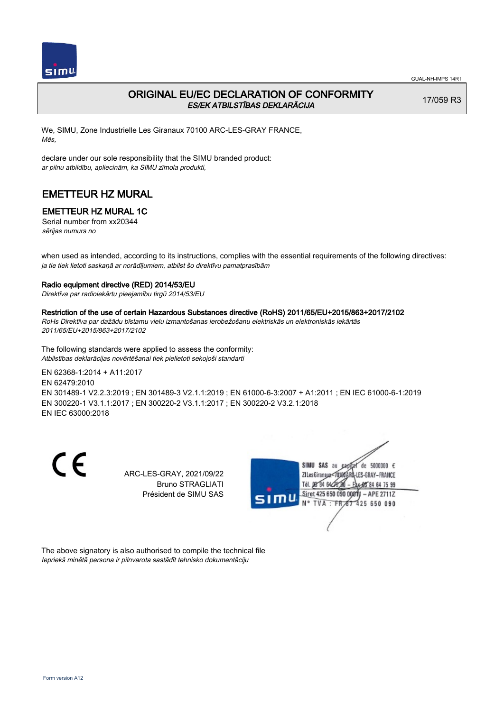

## ORIGINAL EU/EC DECLARATION OF CONFORMITY ES/EK ATBILSTĪBAS DEKLARĀCIJA

17/059 R3

We, SIMU, Zone Industrielle Les Giranaux 70100 ARC-LES-GRAY FRANCE, Mēs,

declare under our sole responsibility that the SIMU branded product: ar pilnu atbildību, apliecinām, ka SIMU zīmola produkti,

## EMETTEUR HZ MURAL

### EMETTEUR HZ MURAL 1C

Serial number from xx20344 sērijas numurs no

when used as intended, according to its instructions, complies with the essential requirements of the following directives: ja tie tiek lietoti saskaņā ar norādījumiem, atbilst šo direktīvu pamatprasībām

#### Radio equipment directive (RED) 2014/53/EU

Direktīva par radioiekārtu pieejamību tirgū 2014/53/EU

#### Restriction of the use of certain Hazardous Substances directive (RoHS) 2011/65/EU+2015/863+2017/2102

RoHs Direktīva par dažādu bīstamu vielu izmantošanas ierobežošanu elektriskās un elektroniskās iekārtās 2011/65/EU+2015/863+2017/2102

The following standards were applied to assess the conformity: Atbilstības deklarācijas novērtēšanai tiek pielietoti sekojoši standarti

EN 62368‑1:2014 + A11:2017

EN 62479:2010 EN 301489‑1 V2.2.3:2019 ; EN 301489‑3 V2.1.1:2019 ; EN 61000‑6‑3:2007 + A1:2011 ; EN IEC 61000‑6‑1:2019 EN 300220‑1 V3.1.1:2017 ; EN 300220‑2 V3.1.1:2017 ; EN 300220‑2 V3.2.1:2018 EN IEC 63000:2018

CE

ARC-LES-GRAY, 2021/09/22 Bruno STRAGLIATI Président de SIMU SAS



The above signatory is also authorised to compile the technical file Iepriekš minētā persona ir pilnvarota sastādīt tehnisko dokumentāciju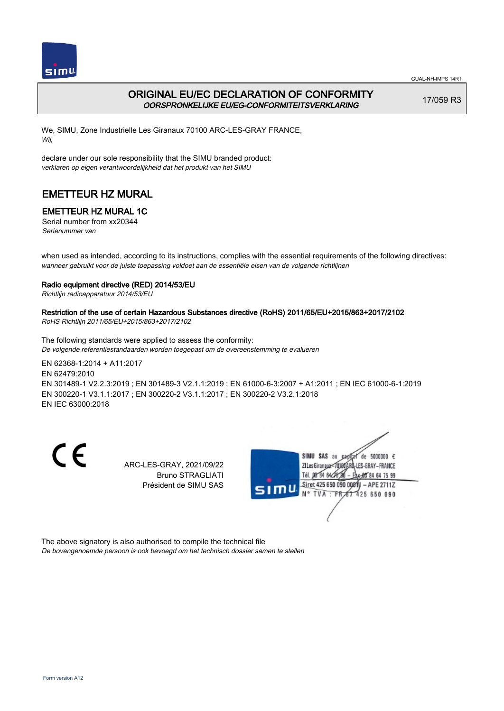

GUAL-NH-IMPS 14R1

## ORIGINAL EU/EC DECLARATION OF CONFORMITY OORSPRONKELIJKE EU/EG-CONFORMITEITSVERKLARING

17/059 R3

We, SIMU, Zone Industrielle Les Giranaux 70100 ARC-LES-GRAY FRANCE, Wij,

declare under our sole responsibility that the SIMU branded product: verklaren op eigen verantwoordelijkheid dat het produkt van het SIMU

## EMETTEUR HZ MURAL

## EMETTEUR HZ MURAL 1C

Serial number from xx20344 Serienummer van

when used as intended, according to its instructions, complies with the essential requirements of the following directives: wanneer gebruikt voor de juiste toepassing voldoet aan de essentiële eisen van de volgende richtlijnen

### Radio equipment directive (RED) 2014/53/EU

Richtlijn radioapparatuur 2014/53/EU

## Restriction of the use of certain Hazardous Substances directive (RoHS) 2011/65/EU+2015/863+2017/2102

RoHS Richtlijn 2011/65/EU+2015/863+2017/2102

The following standards were applied to assess the conformity: De volgende referentiestandaarden worden toegepast om de overeenstemming te evalueren

EN 62368‑1:2014 + A11:2017 EN 62479:2010 EN 301489‑1 V2.2.3:2019 ; EN 301489‑3 V2.1.1:2019 ; EN 61000‑6‑3:2007 + A1:2011 ; EN IEC 61000‑6‑1:2019 EN 300220‑1 V3.1.1:2017 ; EN 300220‑2 V3.1.1:2017 ; EN 300220‑2 V3.2.1:2018 EN IEC 63000:2018

C E

ARC-LES-GRAY, 2021/09/22 Bruno STRAGLIATI Président de SIMU SAS



The above signatory is also authorised to compile the technical file

De bovengenoemde persoon is ook bevoegd om het technisch dossier samen te stellen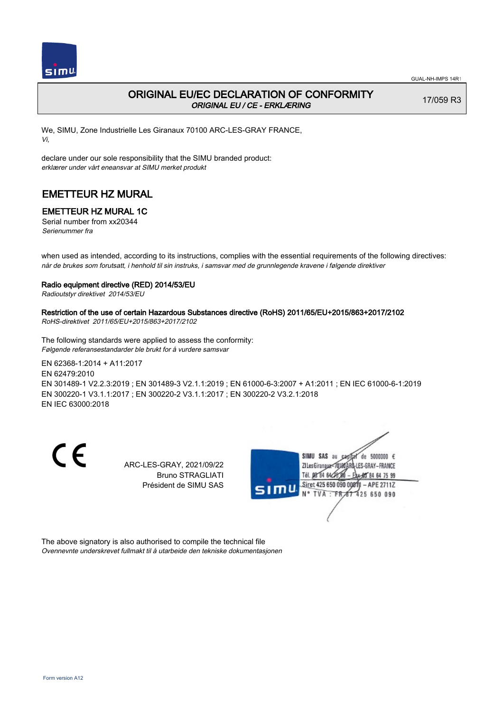

## ORIGINAL EU/EC DECLARATION OF CONFORMITY ORIGINAL EU / CE - ERKLÆRING

17/059 R3

We, SIMU, Zone Industrielle Les Giranaux 70100 ARC-LES-GRAY FRANCE, Vi,

declare under our sole responsibility that the SIMU branded product: erklærer under vårt eneansvar at SIMU merket produkt

## EMETTEUR HZ MURAL

### EMETTEUR HZ MURAL 1C

Serial number from xx20344 Serienummer fra

when used as intended, according to its instructions, complies with the essential requirements of the following directives: når de brukes som forutsatt, i henhold til sin instruks, i samsvar med de grunnlegende kravene i følgende direktiver

### Radio equipment directive (RED) 2014/53/EU

Radioutstyr direktivet 2014/53/EU

## Restriction of the use of certain Hazardous Substances directive (RoHS) 2011/65/EU+2015/863+2017/2102

RoHS-direktivet 2011/65/EU+2015/863+2017/2102

The following standards were applied to assess the conformity: Følgende referansestandarder ble brukt for å vurdere samsvar

EN 62368‑1:2014 + A11:2017 EN 62479:2010 EN 301489‑1 V2.2.3:2019 ; EN 301489‑3 V2.1.1:2019 ; EN 61000‑6‑3:2007 + A1:2011 ; EN IEC 61000‑6‑1:2019 EN 300220‑1 V3.1.1:2017 ; EN 300220‑2 V3.1.1:2017 ; EN 300220‑2 V3.2.1:2018 EN IEC 63000:2018

C E

ARC-LES-GRAY, 2021/09/22 Bruno STRAGLIATI Président de SIMU SAS



The above signatory is also authorised to compile the technical file Ovennevnte underskrevet fullmakt til å utarbeide den tekniske dokumentasjonen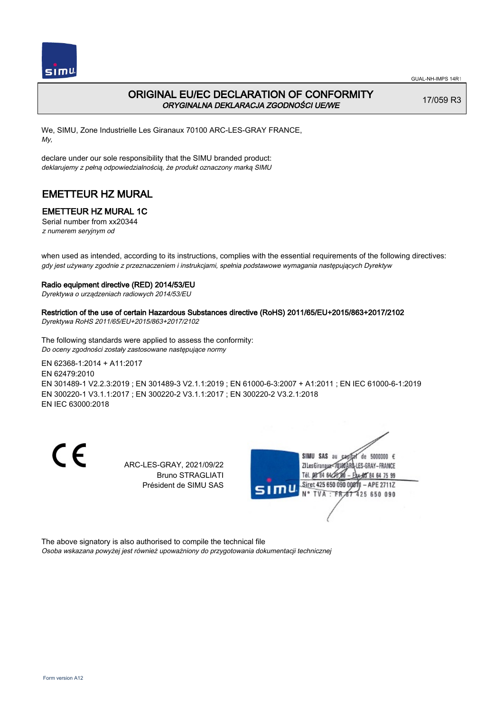

### ORIGINAL EU/EC DECLARATION OF CONFORMITY ORYGINALNA DEKLARACJA ZGODNOŚCI UE/WE

17/059 R3

We, SIMU, Zone Industrielle Les Giranaux 70100 ARC-LES-GRAY FRANCE, My,

declare under our sole responsibility that the SIMU branded product: deklarujemy z pełną odpowiedzialnością, że produkt oznaczony marką SIMU

## EMETTEUR HZ MURAL

### EMETTEUR HZ MURAL 1C

Serial number from xx20344 z numerem seryjnym od

when used as intended, according to its instructions, complies with the essential requirements of the following directives: gdy jest używany zgodnie z przeznaczeniem i instrukcjami, spełnia podstawowe wymagania następujących Dyrektyw

#### Radio equipment directive (RED) 2014/53/EU

Dyrektywa o urządzeniach radiowych 2014/53/EU

### Restriction of the use of certain Hazardous Substances directive (RoHS) 2011/65/EU+2015/863+2017/2102

Dyrektywa RoHS 2011/65/EU+2015/863+2017/2102

The following standards were applied to assess the conformity: Do oceny zgodności zostały zastosowane następujące normy

EN 62368‑1:2014 + A11:2017 EN 62479:2010 EN 301489‑1 V2.2.3:2019 ; EN 301489‑3 V2.1.1:2019 ; EN 61000‑6‑3:2007 + A1:2011 ; EN IEC 61000‑6‑1:2019 EN 300220‑1 V3.1.1:2017 ; EN 300220‑2 V3.1.1:2017 ; EN 300220‑2 V3.2.1:2018 EN IEC 63000:2018

C E

ARC-LES-GRAY, 2021/09/22 Bruno STRAGLIATI Président de SIMU SAS



The above signatory is also authorised to compile the technical file

Osoba wskazana powyżej jest również upoważniony do przygotowania dokumentacji technicznej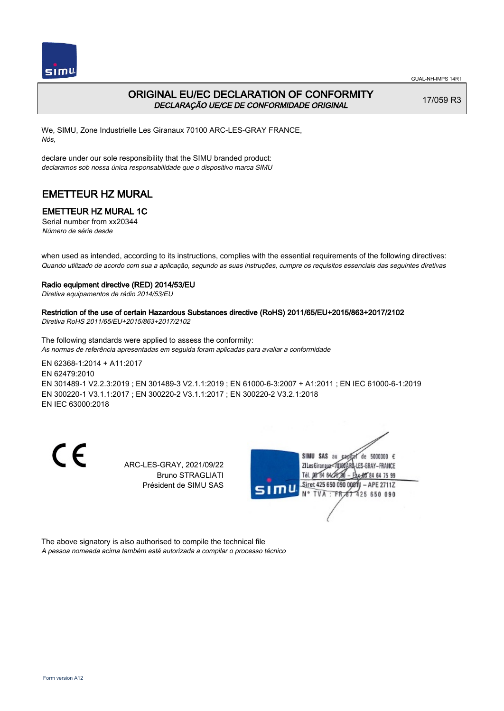

### ORIGINAL EU/EC DECLARATION OF CONFORMITY DECLARAÇÃO UE/CE DE CONFORMIDADE ORIGINAL

17/059 R3

We, SIMU, Zone Industrielle Les Giranaux 70100 ARC-LES-GRAY FRANCE, Nós,

declare under our sole responsibility that the SIMU branded product: declaramos sob nossa única responsabilidade que o dispositivo marca SIMU

## EMETTEUR HZ MURAL

### EMETTEUR HZ MURAL 1C

Serial number from xx20344 Número de série desde

when used as intended, according to its instructions, complies with the essential requirements of the following directives: Quando utilizado de acordo com sua a aplicação, segundo as suas instruções, cumpre os requisitos essenciais das seguintes diretivas

#### Radio equipment directive (RED) 2014/53/EU

Diretiva equipamentos de rádio 2014/53/EU

### Restriction of the use of certain Hazardous Substances directive (RoHS) 2011/65/EU+2015/863+2017/2102

Diretiva RoHS 2011/65/EU+2015/863+2017/2102

The following standards were applied to assess the conformity: As normas de referência apresentadas em seguida foram aplicadas para avaliar a conformidade

EN 62368‑1:2014 + A11:2017 EN 62479:2010 EN 301489‑1 V2.2.3:2019 ; EN 301489‑3 V2.1.1:2019 ; EN 61000‑6‑3:2007 + A1:2011 ; EN IEC 61000‑6‑1:2019 EN 300220‑1 V3.1.1:2017 ; EN 300220‑2 V3.1.1:2017 ; EN 300220‑2 V3.2.1:2018 EN IEC 63000:2018

C E

ARC-LES-GRAY, 2021/09/22 Bruno STRAGLIATI Président de SIMU SAS



The above signatory is also authorised to compile the technical file A pessoa nomeada acima também está autorizada a compilar o processo técnico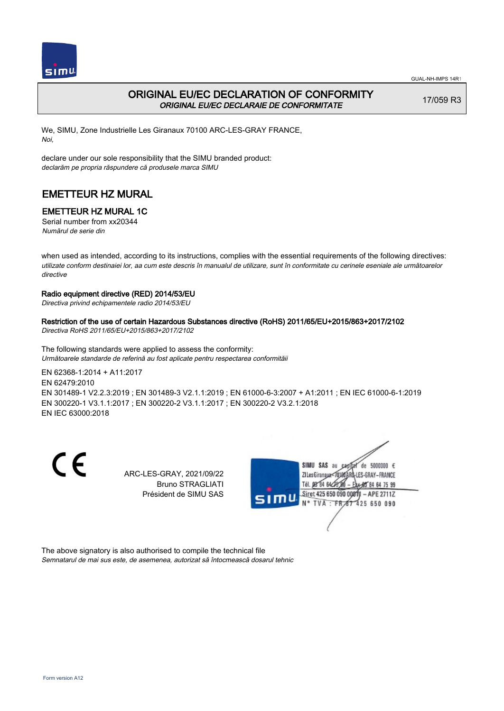

### ORIGINAL EU/EC DECLARATION OF CONFORMITY ORIGINAL EU/EC DECLARAIE DE CONFORMITATE

17/059 R3

We, SIMU, Zone Industrielle Les Giranaux 70100 ARC-LES-GRAY FRANCE, Noi,

declare under our sole responsibility that the SIMU branded product: declarăm pe propria răspundere că produsele marca SIMU

## EMETTEUR HZ MURAL

### EMETTEUR HZ MURAL 1C

Serial number from xx20344 Numărul de serie din

when used as intended, according to its instructions, complies with the essential requirements of the following directives: utilizate conform destinaiei lor, aa cum este descris în manualul de utilizare, sunt în conformitate cu cerinele eseniale ale următoarelor directive

#### Radio equipment directive (RED) 2014/53/EU

Directiva privind echipamentele radio 2014/53/EU

### Restriction of the use of certain Hazardous Substances directive (RoHS) 2011/65/EU+2015/863+2017/2102

Directiva RoHS 2011/65/EU+2015/863+2017/2102

The following standards were applied to assess the conformity: Următoarele standarde de referină au fost aplicate pentru respectarea conformităii

EN 62368‑1:2014 + A11:2017 EN 62479:2010

EN 301489‑1 V2.2.3:2019 ; EN 301489‑3 V2.1.1:2019 ; EN 61000‑6‑3:2007 + A1:2011 ; EN IEC 61000‑6‑1:2019 EN 300220‑1 V3.1.1:2017 ; EN 300220‑2 V3.1.1:2017 ; EN 300220‑2 V3.2.1:2018 EN IEC 63000:2018

 $\epsilon$ 

ARC-LES-GRAY, 2021/09/22 Bruno STRAGLIATI Président de SIMU SAS



The above signatory is also authorised to compile the technical file Semnatarul de mai sus este, de asemenea, autorizat să întocmească dosarul tehnic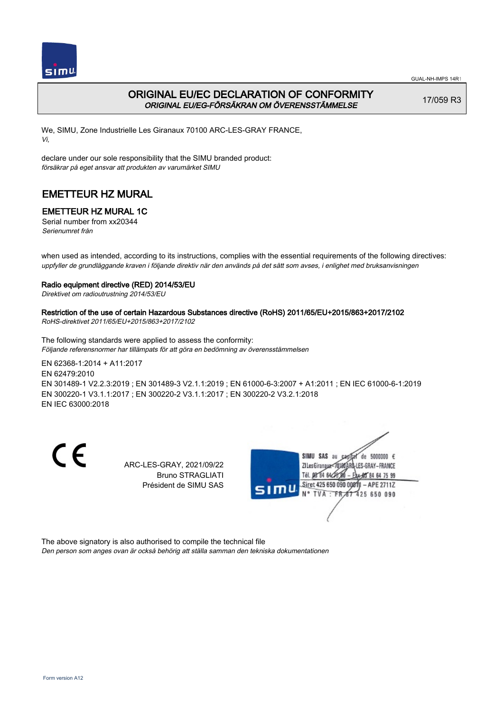

GUAL-NH-IMPS 14R1

## ORIGINAL EU/EC DECLARATION OF CONFORMITY ORIGINAL EU/EG-FÖRSÄKRAN OM ÖVERENSSTÄMMELSE

17/059 R3

We, SIMU, Zone Industrielle Les Giranaux 70100 ARC-LES-GRAY FRANCE, Vi,

declare under our sole responsibility that the SIMU branded product: försäkrar på eget ansvar att produkten av varumärket SIMU

## EMETTEUR HZ MURAL

## EMETTEUR HZ MURAL 1C

Serial number from xx20344 Serienumret från

when used as intended, according to its instructions, complies with the essential requirements of the following directives: uppfyller de grundläggande kraven i följande direktiv när den används på det sätt som avses, i enlighet med bruksanvisningen

### Radio equipment directive (RED) 2014/53/EU

Direktivet om radioutrustning 2014/53/EU

## Restriction of the use of certain Hazardous Substances directive (RoHS) 2011/65/EU+2015/863+2017/2102

RoHS-direktivet 2011/65/EU+2015/863+2017/2102

The following standards were applied to assess the conformity: Följande referensnormer har tillämpats för att göra en bedömning av överensstämmelsen

EN 62368‑1:2014 + A11:2017 EN 62479:2010 EN 301489‑1 V2.2.3:2019 ; EN 301489‑3 V2.1.1:2019 ; EN 61000‑6‑3:2007 + A1:2011 ; EN IEC 61000‑6‑1:2019 EN 300220‑1 V3.1.1:2017 ; EN 300220‑2 V3.1.1:2017 ; EN 300220‑2 V3.2.1:2018 EN IEC 63000:2018

C E

ARC-LES-GRAY, 2021/09/22 Bruno STRAGLIATI Président de SIMU SAS



The above signatory is also authorised to compile the technical file

Den person som anges ovan är också behörig att ställa samman den tekniska dokumentationen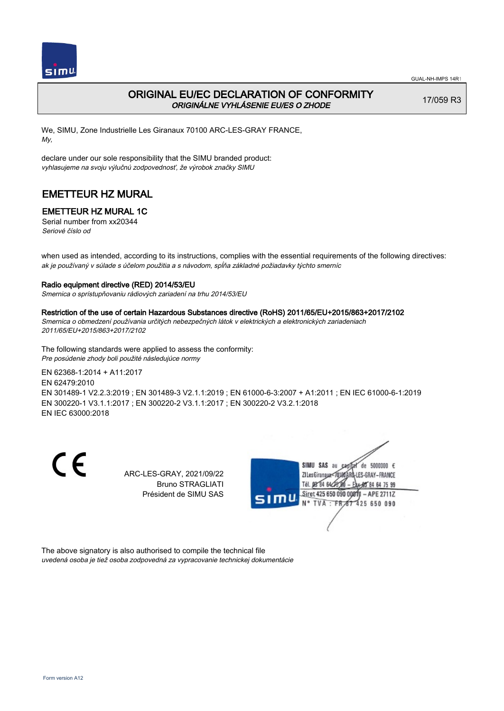

### ORIGINAL EU/EC DECLARATION OF CONFORMITY ORIGINÁLNE VYHLÁSENIE EU/ES O ZHODE

17/059 R3

We, SIMU, Zone Industrielle Les Giranaux 70100 ARC-LES-GRAY FRANCE, My,

declare under our sole responsibility that the SIMU branded product: vyhlasujeme na svoju výlučnú zodpovednosť, že výrobok značky SIMU

## EMETTEUR HZ MURAL

### EMETTEUR HZ MURAL 1C

Serial number from xx20344 Seriové číslo od

when used as intended, according to its instructions, complies with the essential requirements of the following directives: ak je používaný v súlade s účelom použitia a s návodom, spĺňa základné požiadavky týchto smerníc

#### Radio equipment directive (RED) 2014/53/EU

Smernica o sprístupňovaniu rádiových zariadení na trhu 2014/53/EU

#### Restriction of the use of certain Hazardous Substances directive (RoHS) 2011/65/EU+2015/863+2017/2102

Smernica o obmedzení používania určitých nebezpečných látok v elektrických a elektronických zariadeniach 2011/65/EU+2015/863+2017/2102

The following standards were applied to assess the conformity: Pre posúdenie zhody boli použité následujúce normy

EN 62368‑1:2014 + A11:2017

EN 62479:2010

EN 301489‑1 V2.2.3:2019 ; EN 301489‑3 V2.1.1:2019 ; EN 61000‑6‑3:2007 + A1:2011 ; EN IEC 61000‑6‑1:2019 EN 300220‑1 V3.1.1:2017 ; EN 300220‑2 V3.1.1:2017 ; EN 300220‑2 V3.2.1:2018 EN IEC 63000:2018

 $\epsilon$ 

ARC-LES-GRAY, 2021/09/22 Bruno STRAGLIATI Président de SIMU SAS



The above signatory is also authorised to compile the technical file uvedená osoba je tiež osoba zodpovedná za vypracovanie technickej dokumentácie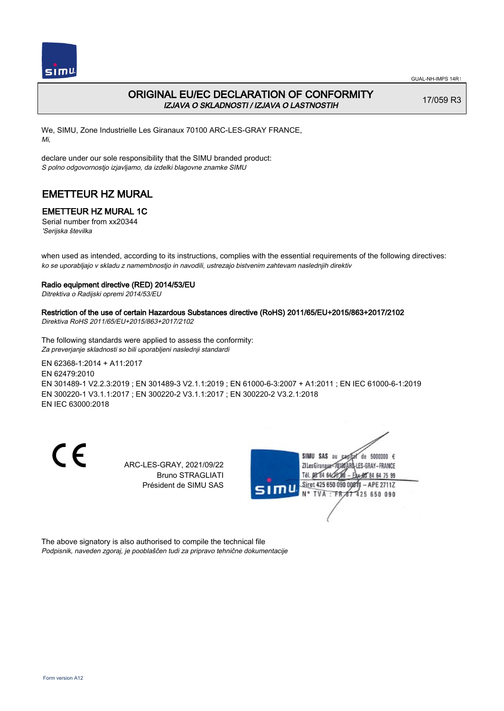

### ORIGINAL EU/EC DECLARATION OF CONFORMITY IZJAVA O SKLADNOSTI / IZJAVA O LASTNOSTIH

17/059 R3

We, SIMU, Zone Industrielle Les Giranaux 70100 ARC-LES-GRAY FRANCE, Mi,

declare under our sole responsibility that the SIMU branded product: S polno odgovornostjo izjavljamo, da izdelki blagovne znamke SIMU

## EMETTEUR HZ MURAL

### EMETTEUR HZ MURAL 1C

Serial number from xx20344 'Serijska številka

when used as intended, according to its instructions, complies with the essential requirements of the following directives: ko se uporabljajo v skladu z namembnostjo in navodili, ustrezajo bistvenim zahtevam naslednjih direktiv

#### Radio equipment directive (RED) 2014/53/EU

Ditrektiva o Radijski opremi 2014/53/EU

### Restriction of the use of certain Hazardous Substances directive (RoHS) 2011/65/EU+2015/863+2017/2102

Direktiva RoHS 2011/65/EU+2015/863+2017/2102

The following standards were applied to assess the conformity: Za preverjanje skladnosti so bili uporabljeni naslednji standardi

EN 62368‑1:2014 + A11:2017 EN 62479:2010 EN 301489‑1 V2.2.3:2019 ; EN 301489‑3 V2.1.1:2019 ; EN 61000‑6‑3:2007 + A1:2011 ; EN IEC 61000‑6‑1:2019 EN 300220‑1 V3.1.1:2017 ; EN 300220‑2 V3.1.1:2017 ; EN 300220‑2 V3.2.1:2018 EN IEC 63000:2018

C E

ARC-LES-GRAY, 2021/09/22 Bruno STRAGLIATI Président de SIMU SAS



The above signatory is also authorised to compile the technical file Podpisnik, naveden zgoraj, je pooblaščen tudi za pripravo tehnične dokumentacije